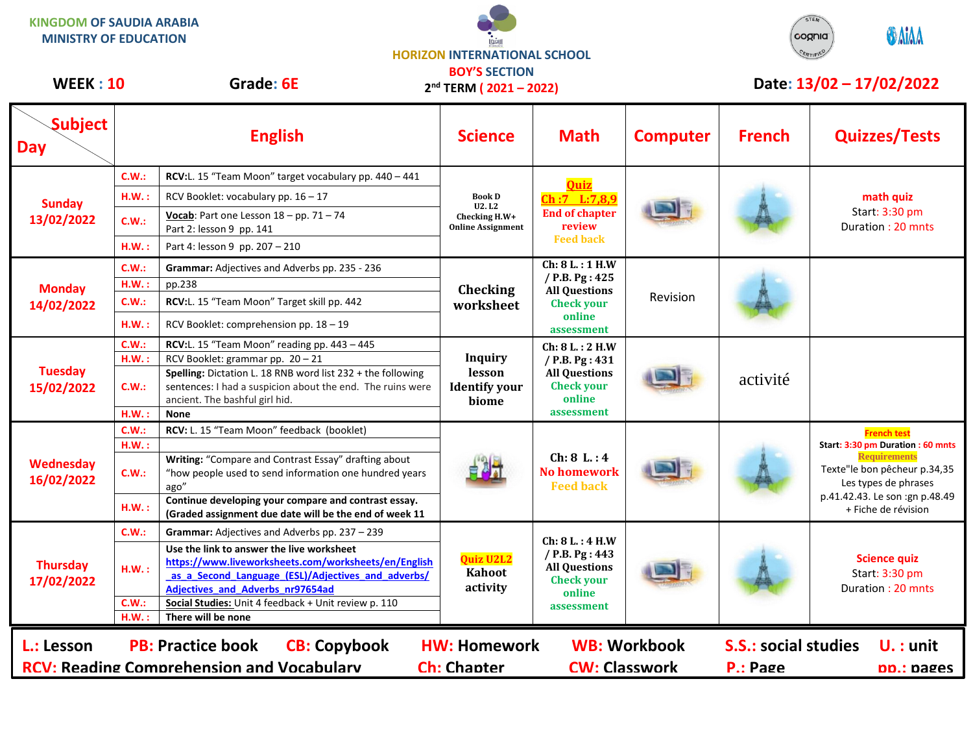**KINGDOM OF SAUDIA ARABIA MINISTRY OF EDUCATION**





| <b>Subject</b><br><b>Day</b>                                                                                                                              |                       | <b>English</b>                                                                                                                                                                                                                                                                   | <b>Science</b>                                                             | <b>Math</b>                                                                                               | <b>Computer</b> | <b>French</b> | <b>Quizzes/Tests</b>                                                                                                                                                                           |  |
|-----------------------------------------------------------------------------------------------------------------------------------------------------------|-----------------------|----------------------------------------------------------------------------------------------------------------------------------------------------------------------------------------------------------------------------------------------------------------------------------|----------------------------------------------------------------------------|-----------------------------------------------------------------------------------------------------------|-----------------|---------------|------------------------------------------------------------------------------------------------------------------------------------------------------------------------------------------------|--|
| <b>Sunday</b><br>13/02/2022                                                                                                                               | C.W.:                 | RCV:L. 15 "Team Moon" target vocabulary pp. 440 - 441                                                                                                                                                                                                                            | <b>Book D</b><br><b>U2.L2</b><br>Checking H.W+<br><b>Online Assignment</b> | <b>Ouiz</b><br>Ch:7 L:7,8,9<br><b>End of chapter</b><br>review<br><b>Feed back</b>                        |                 |               | math quiz<br>Start: 3:30 pm<br>Duration: 20 mnts                                                                                                                                               |  |
|                                                                                                                                                           | H.W.:                 | RCV Booklet: vocabulary pp. $16 - 17$                                                                                                                                                                                                                                            |                                                                            |                                                                                                           |                 |               |                                                                                                                                                                                                |  |
|                                                                                                                                                           | C.W.:                 | Vocab: Part one Lesson $18 - pp. 71 - 74$<br>Part 2: lesson 9 pp. 141                                                                                                                                                                                                            |                                                                            |                                                                                                           |                 |               |                                                                                                                                                                                                |  |
|                                                                                                                                                           | HM.:                  | Part 4: lesson 9 pp. 207 - 210                                                                                                                                                                                                                                                   |                                                                            |                                                                                                           |                 |               |                                                                                                                                                                                                |  |
| <b>Monday</b><br>14/02/2022                                                                                                                               | C.W.:                 | Grammar: Adjectives and Adverbs pp. 235 - 236                                                                                                                                                                                                                                    | Checking<br>worksheet                                                      | Ch: 8 L.: 1 H.W<br>/ P.B. Pg: 425<br><b>All Questions</b><br><b>Check your</b><br>online<br>assessment    | Revision        |               |                                                                                                                                                                                                |  |
|                                                                                                                                                           | H.W.:                 | pp.238                                                                                                                                                                                                                                                                           |                                                                            |                                                                                                           |                 |               |                                                                                                                                                                                                |  |
|                                                                                                                                                           | C.W.:                 | RCV:L. 15 "Team Moon" Target skill pp. 442                                                                                                                                                                                                                                       |                                                                            |                                                                                                           |                 |               |                                                                                                                                                                                                |  |
|                                                                                                                                                           | HM.:                  | RCV Booklet: comprehension pp. 18 - 19                                                                                                                                                                                                                                           |                                                                            |                                                                                                           |                 |               |                                                                                                                                                                                                |  |
| <b>Tuesday</b><br>15/02/2022                                                                                                                              | C.W.:                 | RCV:L. 15 "Team Moon" reading pp. 443 - 445                                                                                                                                                                                                                                      | <b>Inquiry</b><br>lesson<br><b>Identify your</b><br>biome                  | Ch: 8 L.: 2 H.W<br>/ P.B. Pg: 431<br><b>All Questions</b><br><b>Check your</b><br>online<br>assessment    |                 | activité      |                                                                                                                                                                                                |  |
|                                                                                                                                                           | H.W.:                 | RCV Booklet: grammar pp. 20 - 21                                                                                                                                                                                                                                                 |                                                                            |                                                                                                           |                 |               |                                                                                                                                                                                                |  |
|                                                                                                                                                           | C.W.:                 | Spelling: Dictation L. 18 RNB word list 232 + the following<br>sentences: I had a suspicion about the end. The ruins were<br>ancient. The bashful girl hid.                                                                                                                      |                                                                            |                                                                                                           |                 |               |                                                                                                                                                                                                |  |
|                                                                                                                                                           | H.W.:                 | <b>None</b>                                                                                                                                                                                                                                                                      |                                                                            |                                                                                                           |                 |               |                                                                                                                                                                                                |  |
|                                                                                                                                                           | C.W.:                 | RCV: L. 15 "Team Moon" feedback (booklet)                                                                                                                                                                                                                                        |                                                                            | Ch: 8 L: 4<br><b>No homework</b><br><b>Feed back</b>                                                      |                 |               | <b>French test</b><br>Start: 3:30 pm Duration: 60 mnts<br><b>Requirements</b><br>Texte"le bon pêcheur p.34,35<br>Les types de phrases<br>p.41.42.43. Le son :gn p.48.49<br>+ Fiche de révision |  |
|                                                                                                                                                           | H.W.:                 |                                                                                                                                                                                                                                                                                  |                                                                            |                                                                                                           |                 |               |                                                                                                                                                                                                |  |
| <b>Wednesday</b><br>16/02/2022                                                                                                                            | C.W.:                 | Writing: "Compare and Contrast Essay" drafting about<br>"how people used to send information one hundred years<br>ago"                                                                                                                                                           |                                                                            |                                                                                                           |                 |               |                                                                                                                                                                                                |  |
|                                                                                                                                                           | H.W.:                 | Continue developing your compare and contrast essay.<br>(Graded assignment due date will be the end of week 11                                                                                                                                                                   |                                                                            |                                                                                                           |                 |               |                                                                                                                                                                                                |  |
| <b>Thursday</b><br>17/02/2022                                                                                                                             | C.W.:                 | Grammar: Adjectives and Adverbs pp. 237 - 239                                                                                                                                                                                                                                    | <b>Quiz U2L2</b><br>Kahoot<br>activity                                     | Ch: 8 L.: 4 H.W<br>$/$ P.B. Pg : 443<br><b>All Questions</b><br><b>Check your</b><br>online<br>assessment |                 |               |                                                                                                                                                                                                |  |
|                                                                                                                                                           | HM.:<br>C.W.:<br>HM.: | Use the link to answer the live worksheet<br>https://www.liveworksheets.com/worksheets/en/English<br>as a Second Language (ESL)/Adjectives and adverbs/<br><b>Adjectives and Adverbs nr97654ad</b><br>Social Studies: Unit 4 feedback + Unit review p. 110<br>There will be none |                                                                            |                                                                                                           |                 |               | <b>Science quiz</b><br>Start: 3:30 pm<br>Duration: 20 mnts                                                                                                                                     |  |
|                                                                                                                                                           |                       |                                                                                                                                                                                                                                                                                  |                                                                            |                                                                                                           |                 |               |                                                                                                                                                                                                |  |
| <b>WB: Workbook</b><br><b>S.S.: social studies</b><br><b>PB: Practice book</b><br><b>CB: Copybook</b><br><b>HW: Homework</b><br>$U.$ : unit<br>L.: Lesson |                       |                                                                                                                                                                                                                                                                                  |                                                                            |                                                                                                           |                 |               |                                                                                                                                                                                                |  |
| <b>RCV: Reading Comprehension and Vocabulary</b><br><b>Ch: Chapter</b><br><b>CW: Classwork</b><br>P.: Page<br>pp.: pages                                  |                       |                                                                                                                                                                                                                                                                                  |                                                                            |                                                                                                           |                 |               |                                                                                                                                                                                                |  |